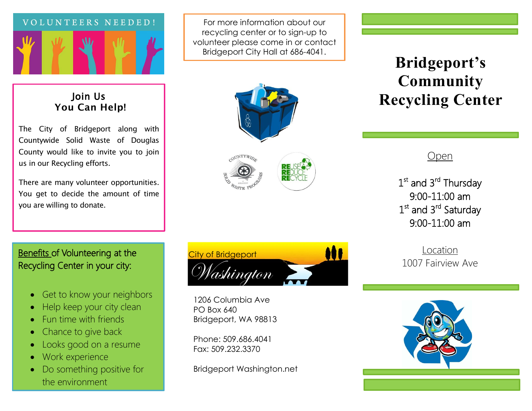

## Join Us **You Can Help!**

The City of Bridgeport along with Countywide Solid Waste of Douglas County would like to invite you to join us in our Recycling efforts.

There are many volunteer opportunities. You get to decide the amount of time you are willing to donate.

For more information about our recycling center or to sign-up to volunteer please come in or contact Bridgeport City Hall at 686-4041.





## **Bridgeport's Community Recycling Center**

Open

1<sup>st</sup> and 3<sup>rd</sup> Thursday 9:00-11:00 am 1<sup>st</sup> and 3<sup>rd</sup> Saturday 9:00-11:00 am

Location 1007 Fairview Ave



## Benefits of Volunteering at the Recycling Center in your city:

- Get to know your neighbors
- Help keep your city clean
- Fun time with friends
- Chance to give back
- Looks good on a resume
- Work experience
- Do something positive for the environment



1206 Columbia Ave PO Box 640 Bridgeport, WA 98813

Phone: 509.686.4041 Fax: 509.232.3370

Bridgeport Washington.net